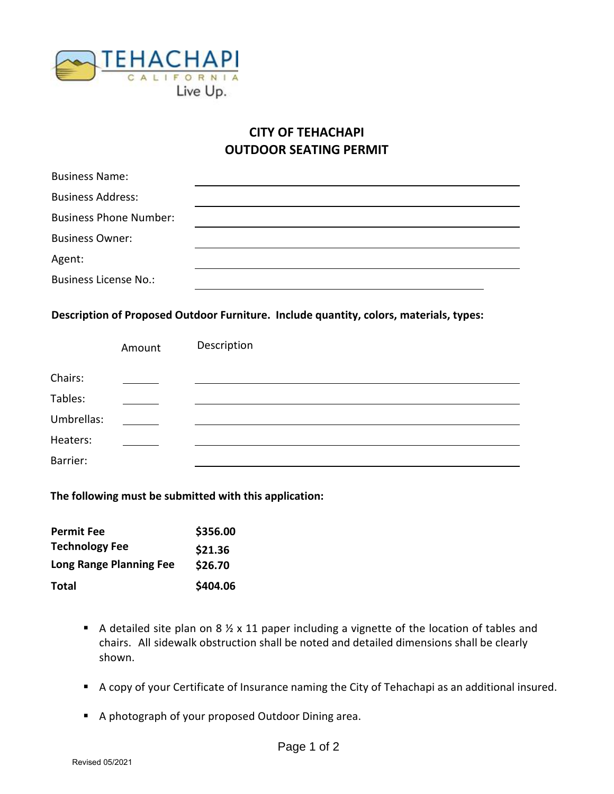

## **CITY OF TEHACHAPI OUTDOOR SEATING PERMIT**

| <b>Business Name:</b>         |  |
|-------------------------------|--|
| <b>Business Address:</b>      |  |
| <b>Business Phone Number:</b> |  |
| <b>Business Owner:</b>        |  |
| Agent:                        |  |
| <b>Business License No.:</b>  |  |

**Description of Proposed Outdoor Furniture. Include quantity, colors, materials, types:**

|            | Amount | Description |
|------------|--------|-------------|
| Chairs:    |        |             |
| Tables:    |        |             |
| Umbrellas: |        |             |
| Heaters:   |        |             |
| Barrier:   |        |             |

**The following must be submitted with this application:**

| <b>Permit Fee</b>              | \$356.00 |
|--------------------------------|----------|
| <b>Technology Fee</b>          | \$21.36  |
| <b>Long Range Planning Fee</b> | \$26.70  |
| Total                          | \$404.06 |

- A detailed site plan on 8  $\frac{1}{2}$  x 11 paper including a vignette of the location of tables and chairs. All sidewalk obstruction shall be noted and detailed dimensions shall be clearly shown.
- A copy of your Certificate of Insurance naming the City of Tehachapi as an additional insured.
- A photograph of your proposed Outdoor Dining area.